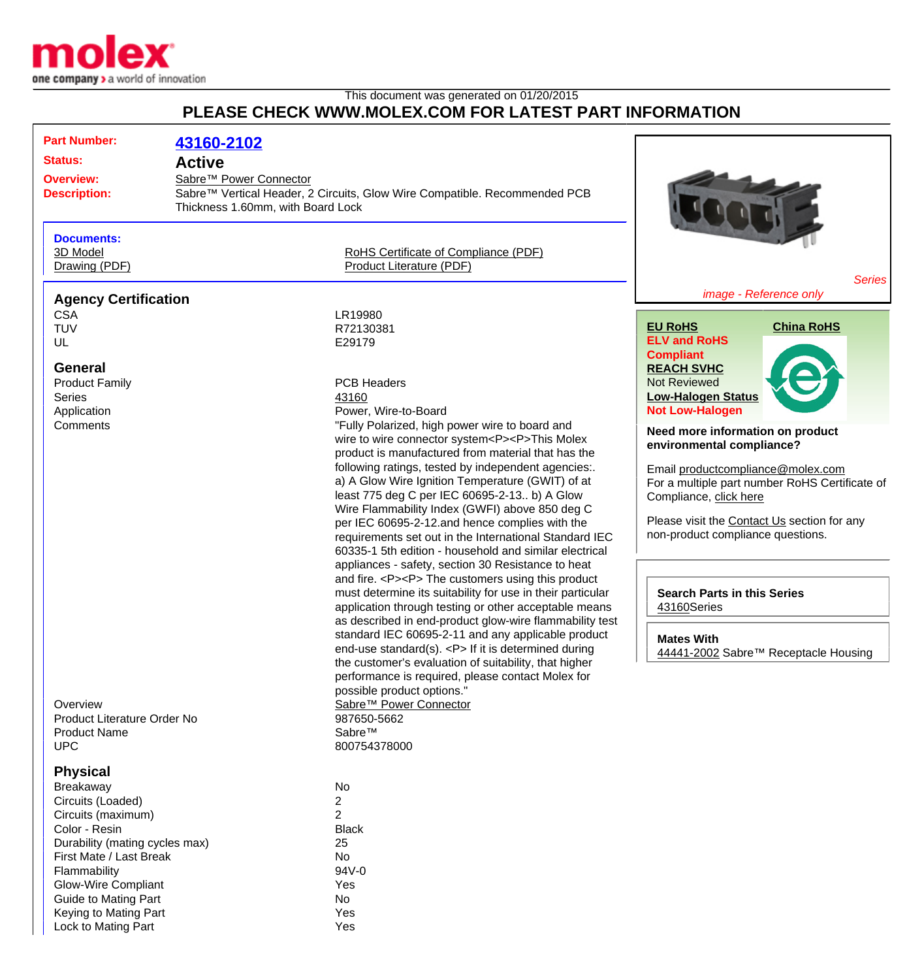

Lock to Mating Part **Yes** 

## This document was generated on 01/20/2015 **PLEASE CHECK WWW.MOLEX.COM FOR LATEST PART INFORMATION**

| <b>Part Number:</b><br><b>Status:</b>                                                                                                                                                                                                                       | 43160-2102<br><b>Active</b>                                 |                                                                                                                                                                                                                                                                                                                                                                                                                                                                                                                                                                                                                  |                                                                                                                                                                                                                                                                    |
|-------------------------------------------------------------------------------------------------------------------------------------------------------------------------------------------------------------------------------------------------------------|-------------------------------------------------------------|------------------------------------------------------------------------------------------------------------------------------------------------------------------------------------------------------------------------------------------------------------------------------------------------------------------------------------------------------------------------------------------------------------------------------------------------------------------------------------------------------------------------------------------------------------------------------------------------------------------|--------------------------------------------------------------------------------------------------------------------------------------------------------------------------------------------------------------------------------------------------------------------|
| <b>Overview:</b><br><b>Description:</b>                                                                                                                                                                                                                     | Sabre™ Power Connector<br>Thickness 1.60mm, with Board Lock | Sabre™ Vertical Header, 2 Circuits, Glow Wire Compatible. Recommended PCB                                                                                                                                                                                                                                                                                                                                                                                                                                                                                                                                        |                                                                                                                                                                                                                                                                    |
| <b>Documents:</b><br>3D Model<br>Drawing (PDF)                                                                                                                                                                                                              |                                                             | RoHS Certificate of Compliance (PDF)<br>Product Literature (PDF)                                                                                                                                                                                                                                                                                                                                                                                                                                                                                                                                                 | <b>Series</b>                                                                                                                                                                                                                                                      |
| <b>Agency Certification</b>                                                                                                                                                                                                                                 |                                                             |                                                                                                                                                                                                                                                                                                                                                                                                                                                                                                                                                                                                                  | image - Reference only                                                                                                                                                                                                                                             |
| <b>CSA</b><br><b>TUV</b><br>UL                                                                                                                                                                                                                              |                                                             | LR19980<br>R72130381<br>E29179                                                                                                                                                                                                                                                                                                                                                                                                                                                                                                                                                                                   | <b>EU RoHS</b><br><b>China RoHS</b><br><b>ELV and RoHS</b><br><b>Compliant</b>                                                                                                                                                                                     |
| <b>General</b><br><b>Product Family</b><br><b>Series</b><br>Application                                                                                                                                                                                     |                                                             | <b>PCB Headers</b><br>43160<br>Power, Wire-to-Board                                                                                                                                                                                                                                                                                                                                                                                                                                                                                                                                                              | <b>REACH SVHC</b><br><b>Not Reviewed</b><br><b>Low-Halogen Status</b><br><b>Not Low-Halogen</b>                                                                                                                                                                    |
| Comments                                                                                                                                                                                                                                                    |                                                             | "Fully Polarized, high power wire to board and<br>wire to wire connector system <p><p>This Molex<br/>product is manufactured from material that has the<br/>following ratings, tested by independent agencies:.<br/>a) A Glow Wire Ignition Temperature (GWIT) of at<br/>least 775 deg C per IEC 60695-2-13 b) A Glow<br/>Wire Flammability Index (GWFI) above 850 deg C<br/>per IEC 60695-2-12.and hence complies with the<br/>requirements set out in the International Standard IEC<br/>60335-1 5th edition - household and similar electrical<br/>appliances - safety, section 30 Resistance to heat</p></p> | Need more information on product<br>environmental compliance?<br>Email productcompliance@molex.com<br>For a multiple part number RoHS Certificate of<br>Compliance, click here<br>Please visit the Contact Us section for any<br>non-product compliance questions. |
| Overview<br>Product Literature Order No<br><b>Product Name</b><br><b>UPC</b>                                                                                                                                                                                |                                                             | and fire. <p><p> The customers using this product<br/>must determine its suitability for use in their particular<br/>application through testing or other acceptable means<br/>as described in end-product glow-wire flammability test<br/>standard IEC 60695-2-11 and any applicable product<br/>end-use standard(s). <p> If it is determined during<br/>the customer's evaluation of suitability, that higher<br/>performance is required, please contact Molex for<br/>possible product options."<br/>Sabre™ Power Connector<br/>987650-5662<br/>Sabre™<br/>800754378000</p></p></p>                          | <b>Search Parts in this Series</b><br>43160Series<br><b>Mates With</b><br>44441-2002 Sabre™ Receptacle Housing                                                                                                                                                     |
| <b>Physical</b><br>Breakaway<br>Circuits (Loaded)<br>Circuits (maximum)<br>Color - Resin<br>Durability (mating cycles max)<br>First Mate / Last Break<br>Flammability<br><b>Glow-Wire Compliant</b><br><b>Guide to Mating Part</b><br>Keying to Mating Part |                                                             | No<br>$\mathbf{2}$<br>$\overline{2}$<br><b>Black</b><br>25<br>No<br>94V-0<br>Yes<br>No<br>Yes                                                                                                                                                                                                                                                                                                                                                                                                                                                                                                                    |                                                                                                                                                                                                                                                                    |